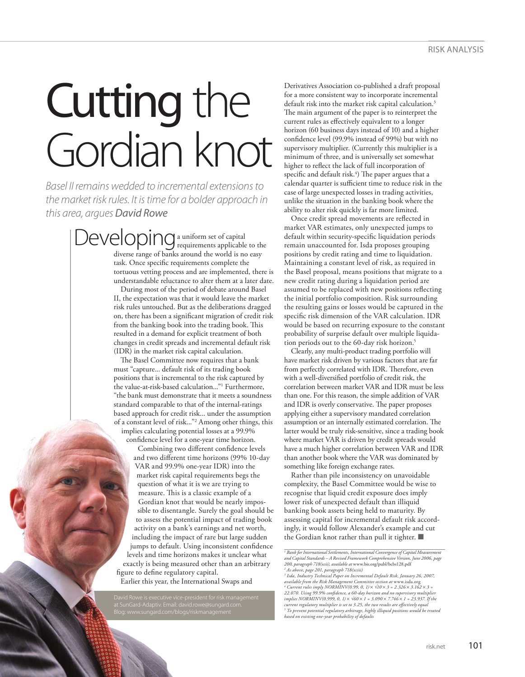## Cutting the Gordian knot

*Basel II remains wedded to incremental extensions to the market risk rules. It is time for a bolder approach in this area, argues David Rowe*

> a uniform set of capital Developing a uniform set of capital diverse range of banks around the world is no easy task. Once specific requirements complete the tortuous vetting process and are implemented, there is understandable reluctance to alter them at a later date.

During most of the period of debate around Basel II, the expectation was that it would leave the market risk rules untouched. But as the deliberations dragged on, there has been a significant migration of credit risk from the banking book into the trading book. This resulted in a demand for explicit treatment of both changes in credit spreads and incremental default risk (IDR) in the market risk capital calculation.

The Basel Committee now requires that a bank must "capture... default risk of its trading book positions that is incremental to the risk captured by the value-at-risk-based calculation..."1 Furthermore, "the bank must demonstrate that it meets a soundness standard comparable to that of the internal-ratings based approach for credit risk... under the assumption of a constant level of risk..."2 Among other things, this implies calculating potential losses at a 99.9%

confidence level for a one-year time horizon.

Combining two different confidence levels and two different time horizons (99% 10-day VAR and 99.9% one-year IDR) into the market risk capital requirements begs the question of what it is we are trying to measure. This is a classic example of a Gordian knot that would be nearly impossible to disentangle. Surely the goal should be to assess the potential impact of trading book activity on a bank's earnings and net worth, including the impact of rare but large sudden jumps to default. Using inconsistent confidence levels and time horizons makes it unclear what exactly is being measured other than an arbitrary figure to define regulatory capital.

Earlier this year, the International Swaps and

Derivatives Association co-published a draft proposal for a more consistent way to incorporate incremental default risk into the market risk capital calculation.<sup>3</sup> The main argument of the paper is to reinterpret the current rules as effectively equivalent to a longer horizon (60 business days instead of 10) and a higher confidence level (99.9% instead of 99%) but with no supervisory multiplier. (Currently this multiplier is a minimum of three, and is universally set somewhat higher to reflect the lack of full incorporation of specific and default risk. $\hat{a}$ ) The paper argues that a calendar quarter is sufficient time to reduce risk in the case of large unexpected losses in trading activities, unlike the situation in the banking book where the ability to alter risk quickly is far more limited.

Once credit spread movements are reflected in market VAR estimates, only unexpected jumps to default within security-specific liquidation periods remain unaccounted for. Isda proposes grouping positions by credit rating and time to liquidation. Maintaining a constant level of risk, as required in the Basel proposal, means positions that migrate to a new credit rating during a liquidation period are assumed to be replaced with new positions reflecting the initial portfolio composition. Risk surrounding the resulting gains or losses would be captured in the specific risk dimension of the VAR calculation. IDR would be based on recurring exposure to the constant probability of surprise default over multiple liquidation periods out to the 60-day risk horizon.5

Clearly, any multi-product trading portfolio will have market risk driven by various factors that are far from perfectly correlated with IDR. Therefore, even with a well-diversified portfolio of credit risk, the correlation between market VAR and IDR must be less than one. For this reason, the simple addition of VAR and IDR is overly conservative. The paper proposes applying either a supervisory mandated correlation assumption or an internally estimated correlation. The latter would be truly risk-sensitive, since a trading book where market VAR is driven by credit spreads would have a much higher correlation between VAR and IDR than another book where the VAR was dominated by something like foreign exchange rates.

Rather than pile inconsistency on unavoidable complexity, the Basel Committee would be wise to recognise that liquid credit exposure does imply lower risk of unexpected default than illiquid banking book assets being held to maturity. By assessing capital for incremental default risk accordingly, it would follow Alexander's example and cut the Gordian knot rather than pull it tighter.  $\blacksquare$ 

<sup>&</sup>lt;sup>1</sup> Bank for International Settlements, International Convergence of Capital Measurement<br>and Capital Standards – A Revised Framework Comprehensive Version, June 2006, page *200, paragraph 718(xcii), available at* www.bis.org/publ/bcbs128.pdf

<sup>&</sup>lt;sup>2</sup> As above, page 201, paragraph 718(xciii)<br>available from the Risk Management commital Default Risk, January 26, 2007,<br>available from the Risk Management Committee section at www.isda.org<br><sup>4</sup> Current rules imply NORMINV( *22.070. Using 99.9% confidence, a 60-day horizon and no supervisory multiplier implies NORMINV(0.999, 0, 1)* × *√60* × *1 = 3.090* × *7.746* × *1 = 23.937. If the*  current regulatory multiplier is set to 3.25, the two results are effectively equal<br><sup>5</sup> To prevent potential regulatory arbitrage, highly illiquid positions would be treated<br>based on existing one-year probability of defaul